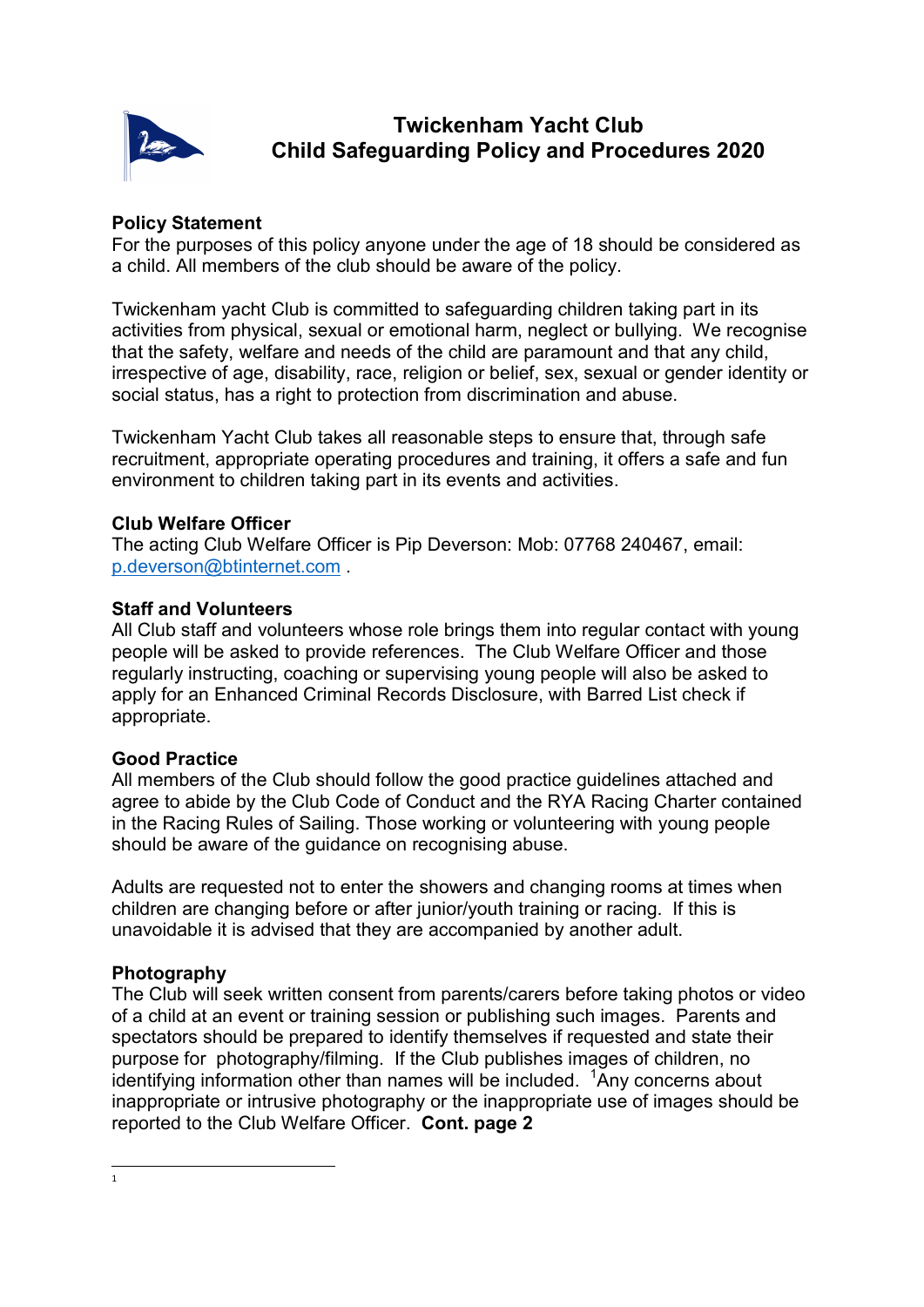

# Twickenham Yacht Club Child Safeguarding Policy and Procedures 2020

# Policy Statement

For the purposes of this policy anyone under the age of 18 should be considered as a child. All members of the club should be aware of the policy.

Twickenham yacht Club is committed to safeguarding children taking part in its activities from physical, sexual or emotional harm, neglect or bullying. We recognise that the safety, welfare and needs of the child are paramount and that any child, irrespective of age, disability, race, religion or belief, sex, sexual or gender identity or social status, has a right to protection from discrimination and abuse.

Twickenham Yacht Club takes all reasonable steps to ensure that, through safe recruitment, appropriate operating procedures and training, it offers a safe and fun environment to children taking part in its events and activities.

## Club Welfare Officer

The acting Club Welfare Officer is Pip Deverson: Mob: 07768 240467, email: p.deverson@btinternet.com .

#### Staff and Volunteers

All Club staff and volunteers whose role brings them into regular contact with young people will be asked to provide references. The Club Welfare Officer and those regularly instructing, coaching or supervising young people will also be asked to apply for an Enhanced Criminal Records Disclosure, with Barred List check if appropriate.

## Good Practice

All members of the Club should follow the good practice guidelines attached and agree to abide by the Club Code of Conduct and the RYA Racing Charter contained in the Racing Rules of Sailing. Those working or volunteering with young people should be aware of the guidance on recognising abuse.

Adults are requested not to enter the showers and changing rooms at times when children are changing before or after junior/youth training or racing. If this is unavoidable it is advised that they are accompanied by another adult.

## Photography

The Club will seek written consent from parents/carers before taking photos or video of a child at an event or training session or publishing such images. Parents and spectators should be prepared to identify themselves if requested and state their purpose for photography/filming. If the Club publishes images of children, no identifying information other than names will be included.  $1$ Any concerns about inappropriate or intrusive photography or the inappropriate use of images should be reported to the Club Welfare Officer. Cont. page 2

 $\frac{1}{1}$